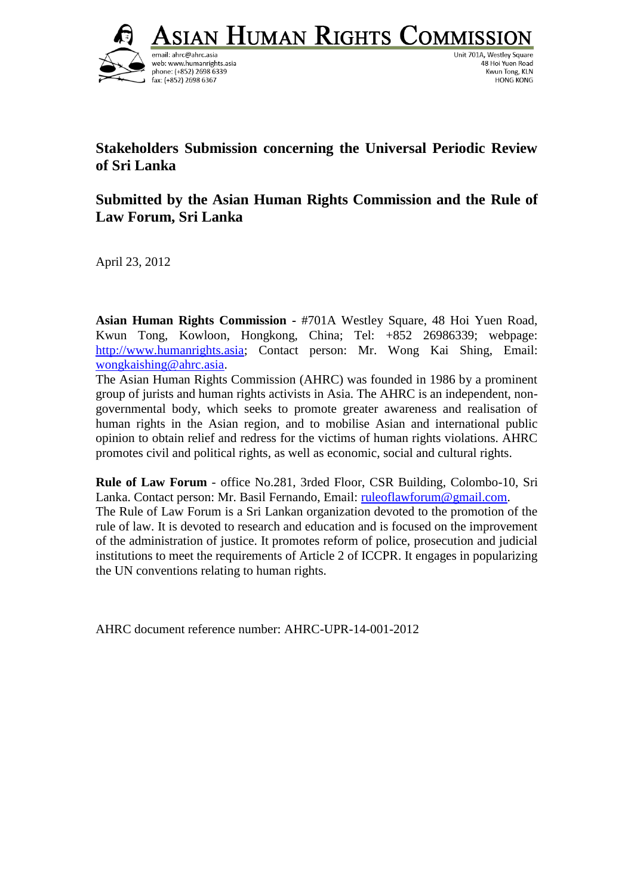<u> Asian Human Rights Commissio</u>



Unit 701A, Westley Square 48 Hoi Yuen Road Kwun Tong, KLN **HONG KONG** 

# **Stakeholders Submission concerning the Universal Periodic Review of Sri Lanka**

# **Submitted by the Asian Human Rights Commission and the Rule of Law Forum, Sri Lanka**

April 23, 2012

**Asian Human Rights Commission -** #701A Westley Square, 48 Hoi Yuen Road, Kwun Tong, Kowloon, Hongkong, China; Tel: +852 26986339; webpage: [http://www.humanrights.asia;](http://www.humanrights.asia/) Contact person: Mr. Wong Kai Shing, Email: [wongkaishing@ahrc.asia.](mailto:wongkaishing@ahrc.asia)

The Asian Human Rights Commission (AHRC) was founded in 1986 by a prominent group of jurists and human rights activists in Asia. The AHRC is an independent, nongovernmental body, which seeks to promote greater awareness and realisation of human rights in the Asian region, and to mobilise Asian and international public opinion to obtain relief and redress for the victims of human rights violations. AHRC promotes civil and political rights, as well as economic, social and cultural rights.

**Rule of Law Forum** - office No.281, 3rded Floor, CSR Building, Colombo-10, Sri Lanka. Contact person: Mr. Basil Fernando, Email: [ruleoflawforum@gmail.com.](mailto:ruleoflawforum@gmail.com) The Rule of Law Forum is a Sri Lankan organization devoted to the promotion of the rule of law. It is devoted to research and education and is focused on the improvement of the administration of justice. It promotes reform of police, prosecution and judicial institutions to meet the requirements of Article 2 of ICCPR. It engages in popularizing the UN conventions relating to human rights.

AHRC document reference number: AHRC-UPR-14-001-2012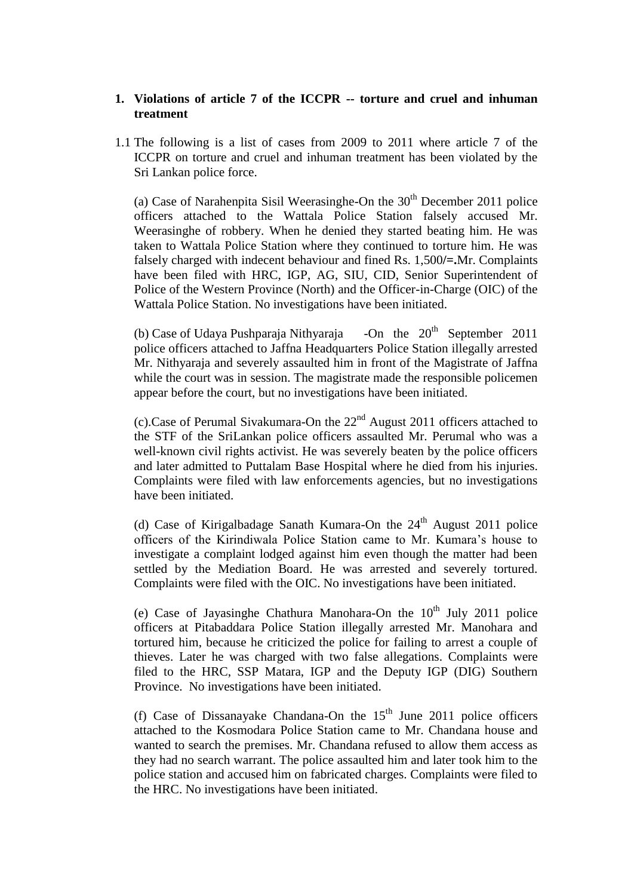#### **1. Violations of article 7 of the ICCPR -- torture and cruel and inhuman treatment**

1.1 The following is a list of cases from 2009 to 2011 where article 7 of the ICCPR on torture and cruel and inhuman treatment has been violated by the Sri Lankan police force.

(a) Case of Narahenpita Sisil Weerasinghe-On the  $30<sup>th</sup>$  December 2011 police officers attached to the Wattala Police Station falsely accused Mr. Weerasinghe of robbery. When he denied they started beating him. He was taken to Wattala Police Station where they continued to torture him. He was falsely charged with indecent behaviour and fined Rs. 1,500**/=.**Mr. Complaints have been filed with HRC, IGP, AG, SIU, CID, Senior Superintendent of Police of the Western Province (North) and the Officer-in-Charge (OIC) of the Wattala Police Station. No investigations have been initiated.

(b) Case of Udaya Pushparaja Nithyaraja -On the  $20^{th}$  September 2011 police officers attached to Jaffna Headquarters Police Station illegally arrested Mr. Nithyaraja and severely assaulted him in front of the Magistrate of Jaffna while the court was in session. The magistrate made the responsible policemen appear before the court, but no investigations have been initiated.

(c).Case of Perumal Sivakumara-On the  $22<sup>nd</sup>$  August 2011 officers attached to the STF of the SriLankan police officers assaulted Mr. Perumal who was a well-known civil rights activist. He was severely beaten by the police officers and later admitted to Puttalam Base Hospital where he died from his injuries. Complaints were filed with law enforcements agencies, but no investigations have been initiated.

(d) Case of Kirigalbadage Sanath Kumara-On the  $24<sup>th</sup>$  August 2011 police officers of the Kirindiwala Police Station came to Mr. Kumara's house to investigate a complaint lodged against him even though the matter had been settled by the Mediation Board. He was arrested and severely tortured. Complaints were filed with the OIC. No investigations have been initiated.

(e) Case of Jayasinghe Chathura Manohara-On the  $10<sup>th</sup>$  July 2011 police officers at Pitabaddara Police Station illegally arrested Mr. Manohara and tortured him, because he criticized the police for failing to arrest a couple of thieves. Later he was charged with two false allegations. Complaints were filed to the HRC, SSP Matara, IGP and the Deputy IGP (DIG) Southern Province. No investigations have been initiated.

(f) Case of Dissanayake Chandana-On the  $15<sup>th</sup>$  June 2011 police officers attached to the Kosmodara Police Station came to Mr. Chandana house and wanted to search the premises. Mr. Chandana refused to allow them access as they had no search warrant. The police assaulted him and later took him to the police station and accused him on fabricated charges. Complaints were filed to the HRC. No investigations have been initiated.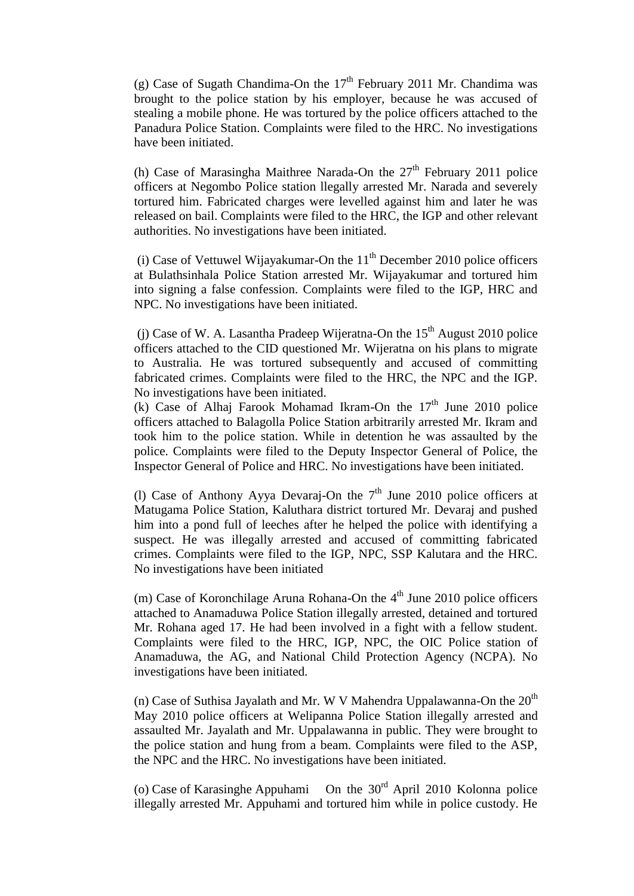(g) Case of Sugath Chandima-On the  $17<sup>th</sup>$  February 2011 Mr. Chandima was brought to the police station by his employer, because he was accused of stealing a mobile phone. He was tortured by the police officers attached to the Panadura Police Station. Complaints were filed to the HRC. No investigations have been initiated.

(h) Case of Marasingha Maithree Narada-On the  $27<sup>th</sup>$  February 2011 police officers at Negombo Police station llegally arrested Mr. Narada and severely tortured him. Fabricated charges were levelled against him and later he was released on bail. Complaints were filed to the HRC, the IGP and other relevant authorities. No investigations have been initiated.

(i) Case of Vettuwel Wijayakumar-On the  $11<sup>th</sup>$  December 2010 police officers at Bulathsinhala Police Station arrested Mr. Wijayakumar and tortured him into signing a false confession. Complaints were filed to the IGP, HRC and NPC. No investigations have been initiated.

(i) Case of W. A. Lasantha Pradeep Wijeratna-On the  $15<sup>th</sup>$  August 2010 police officers attached to the CID questioned Mr. Wijeratna on his plans to migrate to Australia. He was tortured subsequently and accused of committing fabricated crimes. Complaints were filed to the HRC, the NPC and the IGP. No investigations have been initiated.

(k) Case of Alhaj Farook Mohamad Ikram-On the  $17<sup>th</sup>$  June 2010 police officers attached to Balagolla Police Station arbitrarily arrested Mr. Ikram and took him to the police station. While in detention he was assaulted by the police. Complaints were filed to the Deputy Inspector General of Police, the Inspector General of Police and HRC. No investigations have been initiated.

(l) Case of Anthony Ayya Devaraj-On the  $7<sup>th</sup>$  June 2010 police officers at Matugama Police Station, Kaluthara district tortured Mr. Devaraj and pushed him into a pond full of leeches after he helped the police with identifying a suspect. He was illegally arrested and accused of committing fabricated crimes. Complaints were filed to the IGP, NPC, SSP Kalutara and the HRC. No investigations have been initiated

(m) Case of Koronchilage Aruna Rohana-On the  $4<sup>th</sup>$  June 2010 police officers attached to Anamaduwa Police Station illegally arrested, detained and tortured Mr. Rohana aged 17. He had been involved in a fight with a fellow student. Complaints were filed to the HRC, IGP, NPC, the OIC Police station of Anamaduwa, the AG, and National Child Protection Agency (NCPA). No investigations have been initiated.

(n) Case of Suthisa Jayalath and Mr. W V Mahendra Uppalawanna-On the  $20<sup>th</sup>$ May 2010 police officers at Welipanna Police Station illegally arrested and assaulted Mr. Jayalath and Mr. Uppalawanna in public. They were brought to the police station and hung from a beam. Complaints were filed to the ASP, the NPC and the HRC. No investigations have been initiated.

(o) Case of Karasinghe Appuhami On the 30rd April 2010 Kolonna police illegally arrested Mr. Appuhami and tortured him while in police custody. He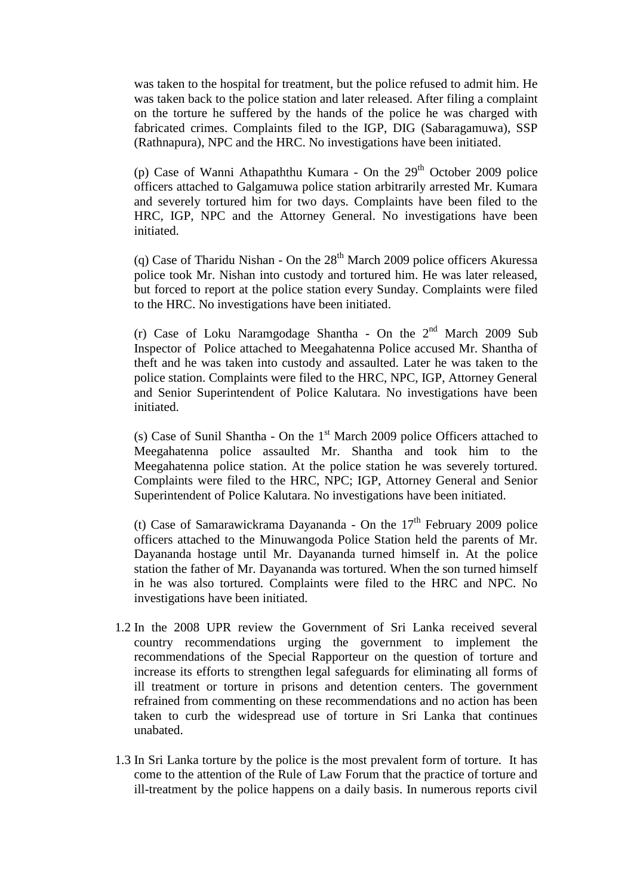was taken to the hospital for treatment, but the police refused to admit him. He was taken back to the police station and later released. After filing a complaint on the torture he suffered by the hands of the police he was charged with fabricated crimes. Complaints filed to the IGP, DIG (Sabaragamuwa), SSP (Rathnapura), NPC and the HRC. No investigations have been initiated.

(p) Case of Wanni Athapaththu Kumara - On the  $29<sup>th</sup>$  October 2009 police officers attached to Galgamuwa police station arbitrarily arrested Mr. Kumara and severely tortured him for two days. Complaints have been filed to the HRC, IGP, NPC and the Attorney General. No investigations have been initiated.

(q) Case of Tharidu Nishan - On the  $28<sup>th</sup>$  March 2009 police officers Akuressa police took Mr. Nishan into custody and tortured him. He was later released, but forced to report at the police station every Sunday. Complaints were filed to the HRC. No investigations have been initiated.

(r) Case of Loku Naramgodage Shantha - On the  $2^{nd}$  March 2009 Sub Inspector of Police attached to Meegahatenna Police accused Mr. Shantha of theft and he was taken into custody and assaulted. Later he was taken to the police station. Complaints were filed to the HRC, NPC, IGP, Attorney General and Senior Superintendent of Police Kalutara. No investigations have been initiated.

(s) Case of Sunil Shantha - On the  $1<sup>st</sup>$  March 2009 police Officers attached to Meegahatenna police assaulted Mr. Shantha and took him to the Meegahatenna police station. At the police station he was severely tortured. Complaints were filed to the HRC, NPC; IGP, Attorney General and Senior Superintendent of Police Kalutara. No investigations have been initiated.

(t) Case of Samarawickrama Dayananda - On the  $17<sup>th</sup>$  February 2009 police officers attached to the Minuwangoda Police Station held the parents of Mr. Dayananda hostage until Mr. Dayananda turned himself in. At the police station the father of Mr. Dayananda was tortured. When the son turned himself in he was also tortured. Complaints were filed to the HRC and NPC. No investigations have been initiated.

- 1.2 In the 2008 UPR review the Government of Sri Lanka received several country recommendations urging the government to implement the recommendations of the Special Rapporteur on the question of torture and increase its efforts to strengthen legal safeguards for eliminating all forms of ill treatment or torture in prisons and detention centers. The government refrained from commenting on these recommendations and no action has been taken to curb the widespread use of torture in Sri Lanka that continues unabated.
- 1.3 In Sri Lanka torture by the police is the most prevalent form of torture. It has come to the attention of the Rule of Law Forum that the practice of torture and ill-treatment by the police happens on a daily basis. In numerous reports civil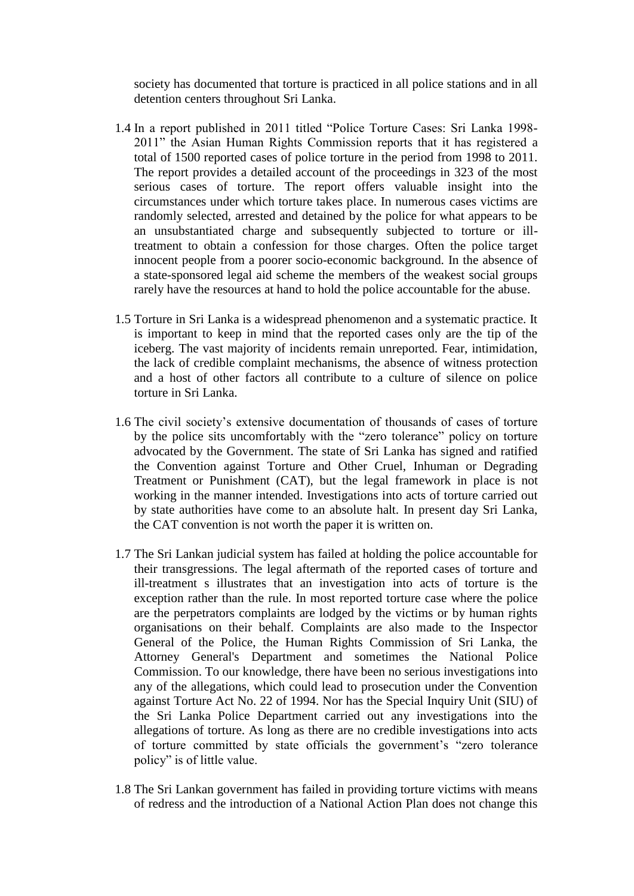society has documented that torture is practiced in all police stations and in all detention centers throughout Sri Lanka.

- 1.4 In a report published in 2011 titled "Police Torture Cases: Sri Lanka 1998- 2011" the Asian Human Rights Commission reports that it has registered a total of 1500 reported cases of police torture in the period from 1998 to 2011. The report provides a detailed account of the proceedings in 323 of the most serious cases of torture. The report offers valuable insight into the circumstances under which torture takes place. In numerous cases victims are randomly selected, arrested and detained by the police for what appears to be an unsubstantiated charge and subsequently subjected to torture or illtreatment to obtain a confession for those charges. Often the police target innocent people from a poorer socio-economic background. In the absence of a state-sponsored legal aid scheme the members of the weakest social groups rarely have the resources at hand to hold the police accountable for the abuse.
- 1.5 Torture in Sri Lanka is a widespread phenomenon and a systematic practice. It is important to keep in mind that the reported cases only are the tip of the iceberg. The vast majority of incidents remain unreported. Fear, intimidation, the lack of credible complaint mechanisms, the absence of witness protection and a host of other factors all contribute to a culture of silence on police torture in Sri Lanka.
- 1.6 The civil society's extensive documentation of thousands of cases of torture by the police sits uncomfortably with the "zero tolerance" policy on torture advocated by the Government. The state of Sri Lanka has signed and ratified the Convention against Torture and Other Cruel, Inhuman or Degrading Treatment or Punishment (CAT), but the legal framework in place is not working in the manner intended. Investigations into acts of torture carried out by state authorities have come to an absolute halt. In present day Sri Lanka, the CAT convention is not worth the paper it is written on.
- 1.7 The Sri Lankan judicial system has failed at holding the police accountable for their transgressions. The legal aftermath of the reported cases of torture and ill-treatment s illustrates that an investigation into acts of torture is the exception rather than the rule. In most reported torture case where the police are the perpetrators complaints are lodged by the victims or by human rights organisations on their behalf. Complaints are also made to the Inspector General of the Police, the Human Rights Commission of Sri Lanka, the Attorney General's Department and sometimes the National Police Commission. To our knowledge, there have been no serious investigations into any of the allegations, which could lead to prosecution under the Convention against Torture Act No. 22 of 1994. Nor has the Special Inquiry Unit (SIU) of the Sri Lanka Police Department carried out any investigations into the allegations of torture. As long as there are no credible investigations into acts of torture committed by state officials the government's "zero tolerance policy" is of little value.
- 1.8 The Sri Lankan government has failed in providing torture victims with means of redress and the introduction of a National Action Plan does not change this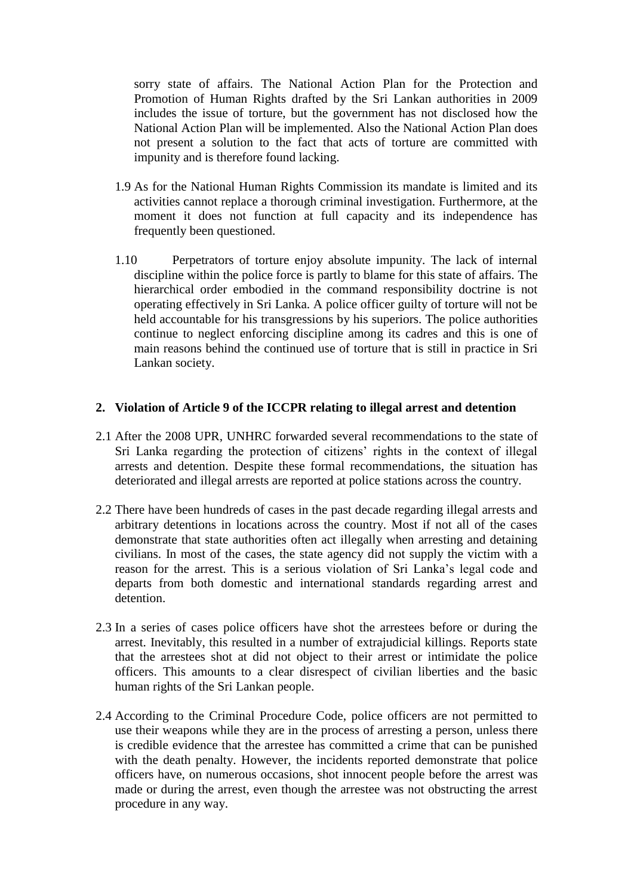sorry state of affairs. The National Action Plan for the Protection and Promotion of Human Rights drafted by the Sri Lankan authorities in 2009 includes the issue of torture, but the government has not disclosed how the National Action Plan will be implemented. Also the National Action Plan does not present a solution to the fact that acts of torture are committed with impunity and is therefore found lacking.

- 1.9 As for the National Human Rights Commission its mandate is limited and its activities cannot replace a thorough criminal investigation. Furthermore, at the moment it does not function at full capacity and its independence has frequently been questioned.
- 1.10 Perpetrators of torture enjoy absolute impunity. The lack of internal discipline within the police force is partly to blame for this state of affairs. The hierarchical order embodied in the command responsibility doctrine is not operating effectively in Sri Lanka. A police officer guilty of torture will not be held accountable for his transgressions by his superiors. The police authorities continue to neglect enforcing discipline among its cadres and this is one of main reasons behind the continued use of torture that is still in practice in Sri Lankan society.

## **2. Violation of Article 9 of the ICCPR relating to illegal arrest and detention**

- 2.1 After the 2008 UPR, UNHRC forwarded several recommendations to the state of Sri Lanka regarding the protection of citizens' rights in the context of illegal arrests and detention. Despite these formal recommendations, the situation has deteriorated and illegal arrests are reported at police stations across the country.
- 2.2 There have been hundreds of cases in the past decade regarding illegal arrests and arbitrary detentions in locations across the country. Most if not all of the cases demonstrate that state authorities often act illegally when arresting and detaining civilians. In most of the cases, the state agency did not supply the victim with a reason for the arrest. This is a serious violation of Sri Lanka's legal code and departs from both domestic and international standards regarding arrest and detention.
- 2.3 In a series of cases police officers have shot the arrestees before or during the arrest. Inevitably, this resulted in a number of extrajudicial killings. Reports state that the arrestees shot at did not object to their arrest or intimidate the police officers. This amounts to a clear disrespect of civilian liberties and the basic human rights of the Sri Lankan people.
- 2.4 According to the Criminal Procedure Code, police officers are not permitted to use their weapons while they are in the process of arresting a person, unless there is credible evidence that the arrestee has committed a crime that can be punished with the death penalty. However, the incidents reported demonstrate that police officers have, on numerous occasions, shot innocent people before the arrest was made or during the arrest, even though the arrestee was not obstructing the arrest procedure in any way.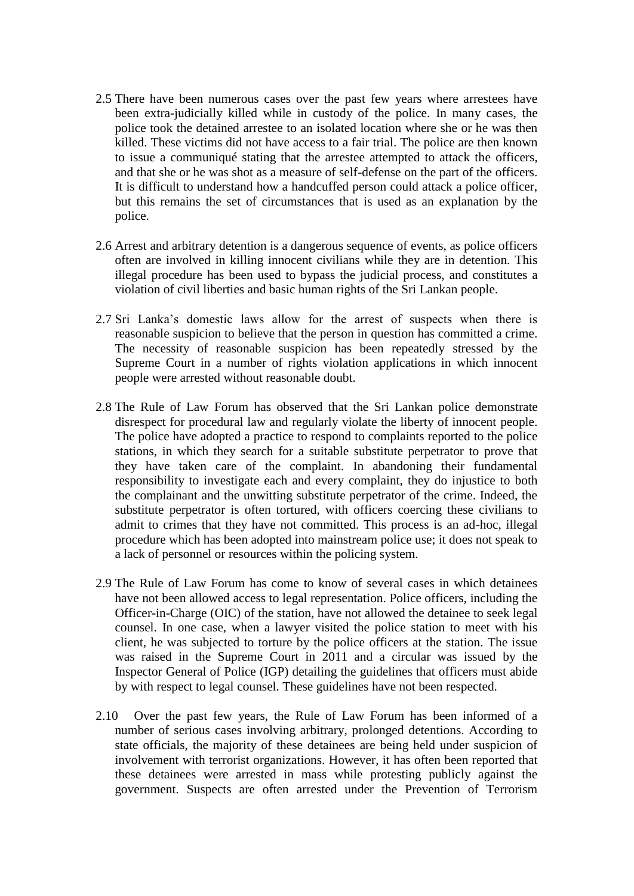- 2.5 There have been numerous cases over the past few years where arrestees have been extra-judicially killed while in custody of the police. In many cases, the police took the detained arrestee to an isolated location where she or he was then killed. These victims did not have access to a fair trial. The police are then known to issue a communiqué stating that the arrestee attempted to attack the officers, and that she or he was shot as a measure of self-defense on the part of the officers. It is difficult to understand how a handcuffed person could attack a police officer, but this remains the set of circumstances that is used as an explanation by the police.
- 2.6 Arrest and arbitrary detention is a dangerous sequence of events, as police officers often are involved in killing innocent civilians while they are in detention. This illegal procedure has been used to bypass the judicial process, and constitutes a violation of civil liberties and basic human rights of the Sri Lankan people.
- 2.7 Sri Lanka's domestic laws allow for the arrest of suspects when there is reasonable suspicion to believe that the person in question has committed a crime. The necessity of reasonable suspicion has been repeatedly stressed by the Supreme Court in a number of rights violation applications in which innocent people were arrested without reasonable doubt.
- 2.8 The Rule of Law Forum has observed that the Sri Lankan police demonstrate disrespect for procedural law and regularly violate the liberty of innocent people. The police have adopted a practice to respond to complaints reported to the police stations, in which they search for a suitable substitute perpetrator to prove that they have taken care of the complaint. In abandoning their fundamental responsibility to investigate each and every complaint, they do injustice to both the complainant and the unwitting substitute perpetrator of the crime. Indeed, the substitute perpetrator is often tortured, with officers coercing these civilians to admit to crimes that they have not committed. This process is an ad-hoc, illegal procedure which has been adopted into mainstream police use; it does not speak to a lack of personnel or resources within the policing system.
- 2.9 The Rule of Law Forum has come to know of several cases in which detainees have not been allowed access to legal representation. Police officers, including the Officer-in-Charge (OIC) of the station, have not allowed the detainee to seek legal counsel. In one case, when a lawyer visited the police station to meet with his client, he was subjected to torture by the police officers at the station. The issue was raised in the Supreme Court in 2011 and a circular was issued by the Inspector General of Police (IGP) detailing the guidelines that officers must abide by with respect to legal counsel. These guidelines have not been respected.
- 2.10 Over the past few years, the Rule of Law Forum has been informed of a number of serious cases involving arbitrary, prolonged detentions. According to state officials, the majority of these detainees are being held under suspicion of involvement with terrorist organizations. However, it has often been reported that these detainees were arrested in mass while protesting publicly against the government. Suspects are often arrested under the Prevention of Terrorism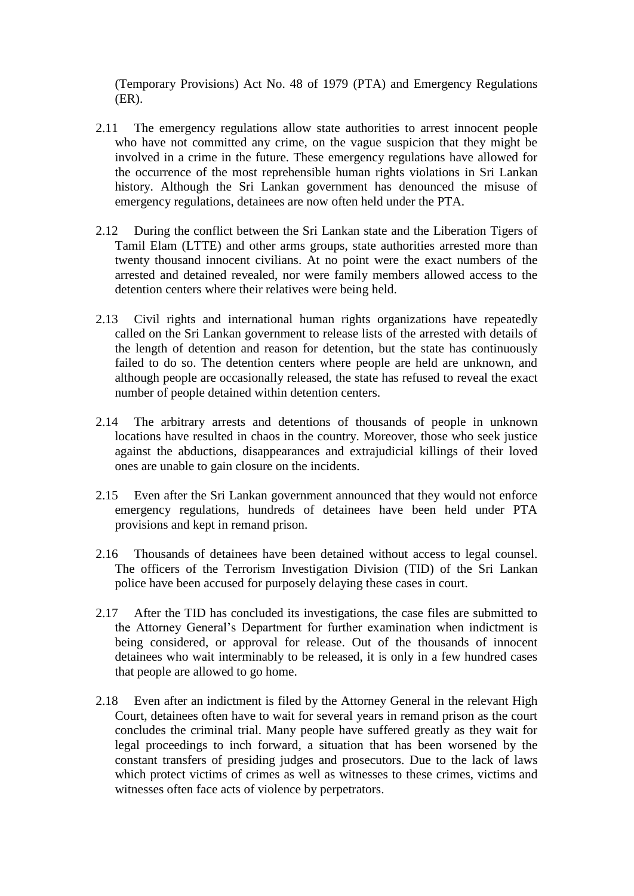(Temporary Provisions) Act No. 48 of 1979 (PTA) and Emergency Regulations (ER).

- 2.11 The emergency regulations allow state authorities to arrest innocent people who have not committed any crime, on the vague suspicion that they might be involved in a crime in the future. These emergency regulations have allowed for the occurrence of the most reprehensible human rights violations in Sri Lankan history. Although the Sri Lankan government has denounced the misuse of emergency regulations, detainees are now often held under the PTA.
- 2.12 During the conflict between the Sri Lankan state and the Liberation Tigers of Tamil Elam (LTTE) and other arms groups, state authorities arrested more than twenty thousand innocent civilians. At no point were the exact numbers of the arrested and detained revealed, nor were family members allowed access to the detention centers where their relatives were being held.
- 2.13 Civil rights and international human rights organizations have repeatedly called on the Sri Lankan government to release lists of the arrested with details of the length of detention and reason for detention, but the state has continuously failed to do so. The detention centers where people are held are unknown, and although people are occasionally released, the state has refused to reveal the exact number of people detained within detention centers.
- 2.14 The arbitrary arrests and detentions of thousands of people in unknown locations have resulted in chaos in the country. Moreover, those who seek justice against the abductions, disappearances and extrajudicial killings of their loved ones are unable to gain closure on the incidents.
- 2.15 Even after the Sri Lankan government announced that they would not enforce emergency regulations, hundreds of detainees have been held under PTA provisions and kept in remand prison.
- 2.16 Thousands of detainees have been detained without access to legal counsel. The officers of the Terrorism Investigation Division (TID) of the Sri Lankan police have been accused for purposely delaying these cases in court.
- 2.17 After the TID has concluded its investigations, the case files are submitted to the Attorney General's Department for further examination when indictment is being considered, or approval for release. Out of the thousands of innocent detainees who wait interminably to be released, it is only in a few hundred cases that people are allowed to go home.
- 2.18 Even after an indictment is filed by the Attorney General in the relevant High Court, detainees often have to wait for several years in remand prison as the court concludes the criminal trial. Many people have suffered greatly as they wait for legal proceedings to inch forward, a situation that has been worsened by the constant transfers of presiding judges and prosecutors. Due to the lack of laws which protect victims of crimes as well as witnesses to these crimes, victims and witnesses often face acts of violence by perpetrators.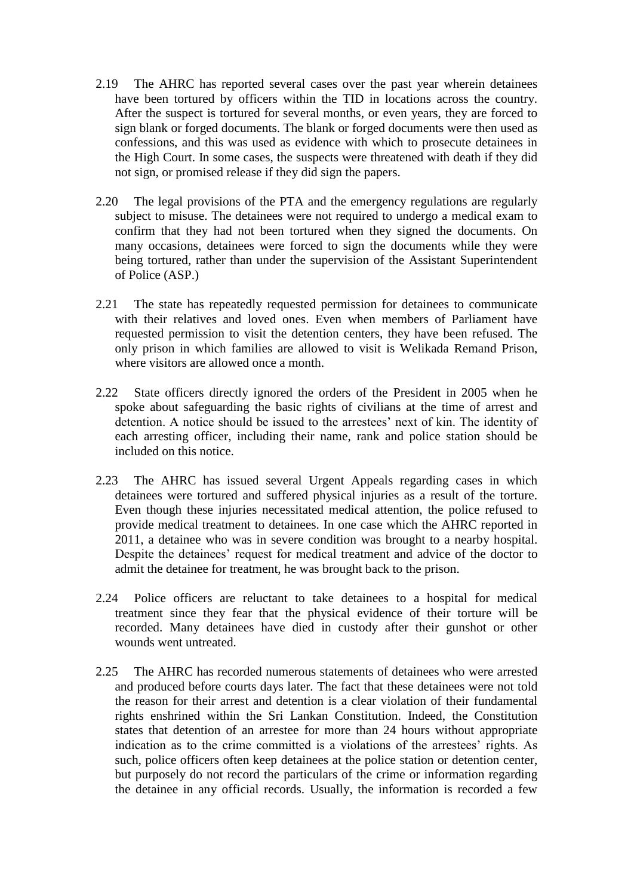- 2.19 The AHRC has reported several cases over the past year wherein detainees have been tortured by officers within the TID in locations across the country. After the suspect is tortured for several months, or even years, they are forced to sign blank or forged documents. The blank or forged documents were then used as confessions, and this was used as evidence with which to prosecute detainees in the High Court. In some cases, the suspects were threatened with death if they did not sign, or promised release if they did sign the papers.
- 2.20 The legal provisions of the PTA and the emergency regulations are regularly subject to misuse. The detainees were not required to undergo a medical exam to confirm that they had not been tortured when they signed the documents. On many occasions, detainees were forced to sign the documents while they were being tortured, rather than under the supervision of the Assistant Superintendent of Police (ASP.)
- 2.21 The state has repeatedly requested permission for detainees to communicate with their relatives and loved ones. Even when members of Parliament have requested permission to visit the detention centers, they have been refused. The only prison in which families are allowed to visit is Welikada Remand Prison, where visitors are allowed once a month.
- 2.22 State officers directly ignored the orders of the President in 2005 when he spoke about safeguarding the basic rights of civilians at the time of arrest and detention. A notice should be issued to the arrestees' next of kin. The identity of each arresting officer, including their name, rank and police station should be included on this notice.
- 2.23 The AHRC has issued several Urgent Appeals regarding cases in which detainees were tortured and suffered physical injuries as a result of the torture. Even though these injuries necessitated medical attention, the police refused to provide medical treatment to detainees. In one case which the AHRC reported in 2011, a detainee who was in severe condition was brought to a nearby hospital. Despite the detainees' request for medical treatment and advice of the doctor to admit the detainee for treatment, he was brought back to the prison.
- 2.24 Police officers are reluctant to take detainees to a hospital for medical treatment since they fear that the physical evidence of their torture will be recorded. Many detainees have died in custody after their gunshot or other wounds went untreated.
- 2.25 The AHRC has recorded numerous statements of detainees who were arrested and produced before courts days later. The fact that these detainees were not told the reason for their arrest and detention is a clear violation of their fundamental rights enshrined within the Sri Lankan Constitution. Indeed, the Constitution states that detention of an arrestee for more than 24 hours without appropriate indication as to the crime committed is a violations of the arrestees' rights. As such, police officers often keep detainees at the police station or detention center, but purposely do not record the particulars of the crime or information regarding the detainee in any official records. Usually, the information is recorded a few